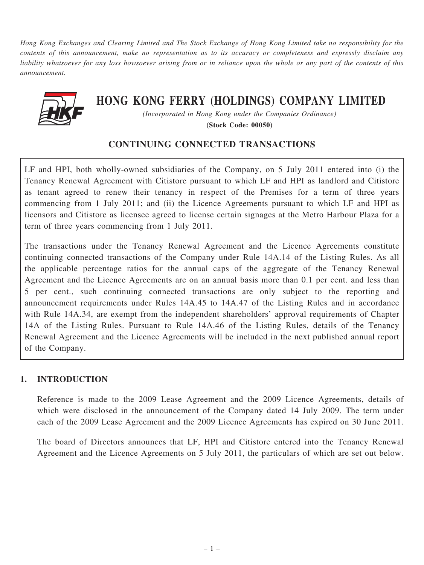Hong Kong Exchanges and Clearing Limited and The Stock Exchange of Hong Kong Limited take no responsibility for the contents of this announcement, make no representation as to its accuracy or completeness and expressly disclaim any liability whatsoever for any loss howsoever arising from or in reliance upon the whole or any part of the contents of this announcement.



# HONG KONG FERRY (HOLDINGS) COMPANY LIMITED

(Incorporated in Hong Kong under the Companies Ordinance) (Stock Code: 00050)

### CONTINUING CONNECTED TRANSACTIONS

LF and HPI, both wholly-owned subsidiaries of the Company, on 5 July 2011 entered into (i) the Tenancy Renewal Agreement with Citistore pursuant to which LF and HPI as landlord and Citistore as tenant agreed to renew their tenancy in respect of the Premises for a term of three years commencing from 1 July 2011; and (ii) the Licence Agreements pursuant to which LF and HPI as licensors and Citistore as licensee agreed to license certain signages at the Metro Harbour Plaza for a term of three years commencing from 1 July 2011.

The transactions under the Tenancy Renewal Agreement and the Licence Agreements constitute continuing connected transactions of the Company under Rule 14A.14 of the Listing Rules. As all the applicable percentage ratios for the annual caps of the aggregate of the Tenancy Renewal Agreement and the Licence Agreements are on an annual basis more than 0.1 per cent. and less than 5 per cent., such continuing connected transactions are only subject to the reporting and announcement requirements under Rules 14A.45 to 14A.47 of the Listing Rules and in accordance with Rule 14A.34, are exempt from the independent shareholders' approval requirements of Chapter 14A of the Listing Rules. Pursuant to Rule 14A.46 of the Listing Rules, details of the Tenancy Renewal Agreement and the Licence Agreements will be included in the next published annual report of the Company.

#### 1. INTRODUCTION

Reference is made to the 2009 Lease Agreement and the 2009 Licence Agreements, details of which were disclosed in the announcement of the Company dated 14 July 2009. The term under each of the 2009 Lease Agreement and the 2009 Licence Agreements has expired on 30 June 2011.

The board of Directors announces that LF, HPI and Citistore entered into the Tenancy Renewal Agreement and the Licence Agreements on 5 July 2011, the particulars of which are set out below.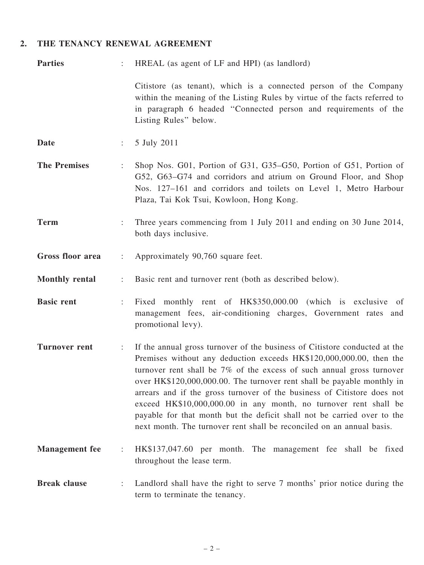## 2. THE TENANCY RENEWAL AGREEMENT

| <b>Parties</b>          |                       | HREAL (as agent of LF and HPI) (as landlord)                                                                                                                                                                                                                                                                                                                                                                                                                                                                                                                                                            |
|-------------------------|-----------------------|---------------------------------------------------------------------------------------------------------------------------------------------------------------------------------------------------------------------------------------------------------------------------------------------------------------------------------------------------------------------------------------------------------------------------------------------------------------------------------------------------------------------------------------------------------------------------------------------------------|
|                         |                       | Citistore (as tenant), which is a connected person of the Company<br>within the meaning of the Listing Rules by virtue of the facts referred to<br>in paragraph 6 headed "Connected person and requirements of the<br>Listing Rules" below.                                                                                                                                                                                                                                                                                                                                                             |
| <b>Date</b>             |                       | 5 July 2011                                                                                                                                                                                                                                                                                                                                                                                                                                                                                                                                                                                             |
| <b>The Premises</b>     |                       | Shop Nos. G01, Portion of G31, G35–G50, Portion of G51, Portion of<br>G52, G63-G74 and corridors and atrium on Ground Floor, and Shop<br>Nos. 127-161 and corridors and toilets on Level 1, Metro Harbour<br>Plaza, Tai Kok Tsui, Kowloon, Hong Kong.                                                                                                                                                                                                                                                                                                                                                   |
| <b>Term</b>             |                       | Three years commencing from 1 July 2011 and ending on 30 June 2014,<br>both days inclusive.                                                                                                                                                                                                                                                                                                                                                                                                                                                                                                             |
| <b>Gross floor area</b> | $\ddot{\cdot}$        | Approximately 90,760 square feet.                                                                                                                                                                                                                                                                                                                                                                                                                                                                                                                                                                       |
| <b>Monthly rental</b>   | $\ddot{\cdot}$        | Basic rent and turnover rent (both as described below).                                                                                                                                                                                                                                                                                                                                                                                                                                                                                                                                                 |
| <b>Basic rent</b>       | ÷.                    | Fixed monthly rent of HK\$350,000.00 (which is exclusive of<br>management fees, air-conditioning charges, Government rates and<br>promotional levy).                                                                                                                                                                                                                                                                                                                                                                                                                                                    |
| <b>Turnover rent</b>    | $\mathbb{Z}^{\times}$ | If the annual gross turnover of the business of Citistore conducted at the<br>Premises without any deduction exceeds HK\$120,000,000.00, then the<br>turnover rent shall be 7% of the excess of such annual gross turnover<br>over HK\$120,000,000.00. The turnover rent shall be payable monthly in<br>arrears and if the gross turnover of the business of Citistore does not<br>exceed HK\$10,000,000.00 in any month, no turnover rent shall be<br>payable for that month but the deficit shall not be carried over to the<br>next month. The turnover rent shall be reconciled on an annual basis. |
| <b>Management</b> fee   | $\ddot{\cdot}$        | HK\$137,047.60 per month. The management fee shall be fixed<br>throughout the lease term.                                                                                                                                                                                                                                                                                                                                                                                                                                                                                                               |
| <b>Break clause</b>     | ÷                     | Landlord shall have the right to serve 7 months' prior notice during the<br>term to terminate the tenancy.                                                                                                                                                                                                                                                                                                                                                                                                                                                                                              |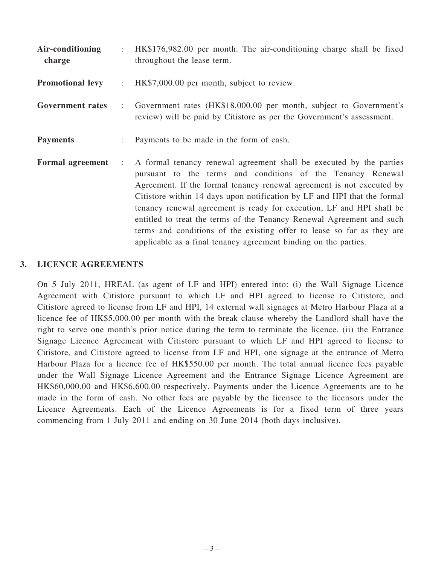Air-conditioning charge : HK\$176,982.00 per month. The air-conditioning charge shall be fixed throughout the lease term. **Promotional levy** : HK\$7,000.00 per month, subject to review. Government rates : Government rates (HK\$18,000.00 per month, subject to Government's review) will be paid by Citistore as per the Government's assessment. **Payments** : Payments to be made in the form of cash. Formal agreement : A formal tenancy renewal agreement shall be executed by the parties pursuant to the terms and conditions of the Tenancy Renewal Agreement. If the formal tenancy renewal agreement is not executed by Citistore within 14 days upon notification by LF and HPI that the formal tenancy renewal agreement is ready for execution, LF and HPI shall be entitled to treat the terms of the Tenancy Renewal Agreement and such terms and conditions of the existing offer to lease so far as they are applicable as a final tenancy agreement binding on the parties.

#### 3. LICENCE AGREEMENTS

On 5 July 2011, HREAL (as agent of LF and HPI) entered into: (i) the Wall Signage Licence Agreement with Citistore pursuant to which LF and HPI agreed to license to Citistore, and Citistore agreed to license from LF and HPI, 14 external wall signages at Metro Harbour Plaza at a licence fee of HK\$5,000.00 per month with the break clause whereby the Landlord shall have the right to serve one month's prior notice during the term to terminate the licence. (ii) the Entrance Signage Licence Agreement with Citistore pursuant to which LF and HPI agreed to license to Citistore, and Citistore agreed to license from LF and HPI, one signage at the entrance of Metro Harbour Plaza for a licence fee of HK\$550.00 per month. The total annual licence fees payable under the Wall Signage Licence Agreement and the Entrance Signage Licence Agreement are HK\$60,000.00 and HK\$6,600.00 respectively. Payments under the Licence Agreements are to be made in the form of cash. No other fees are payable by the licensee to the licensors under the Licence Agreements. Each of the Licence Agreements is for a fixed term of three years commencing from 1 July 2011 and ending on 30 June 2014 (both days inclusive).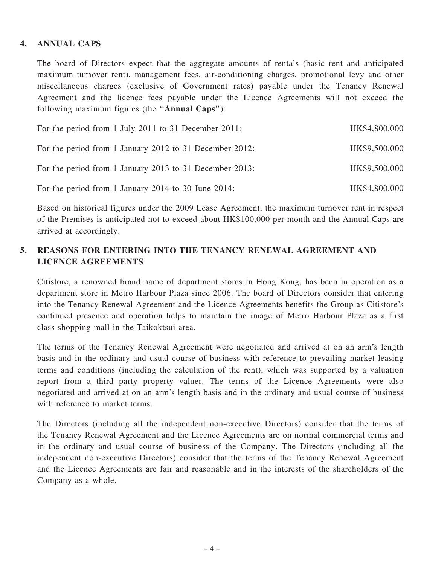#### 4. ANNUAL CAPS

The board of Directors expect that the aggregate amounts of rentals (basic rent and anticipated maximum turnover rent), management fees, air-conditioning charges, promotional levy and other miscellaneous charges (exclusive of Government rates) payable under the Tenancy Renewal Agreement and the licence fees payable under the Licence Agreements will not exceed the following maximum figures (the ''Annual Caps''):

| For the period from 1 July 2011 to 31 December 2011:    | HK\$4,800,000 |
|---------------------------------------------------------|---------------|
| For the period from 1 January 2012 to 31 December 2012: | HK\$9,500,000 |
| For the period from 1 January 2013 to 31 December 2013: | HK\$9,500,000 |
| For the period from 1 January 2014 to 30 June 2014:     | HK\$4,800,000 |

Based on historical figures under the 2009 Lease Agreement, the maximum turnover rent in respect of the Premises is anticipated not to exceed about HK\$100,000 per month and the Annual Caps are arrived at accordingly.

## 5. REASONS FOR ENTERING INTO THE TENANCY RENEWAL AGREEMENT AND LICENCE AGREEMENTS

Citistore, a renowned brand name of department stores in Hong Kong, has been in operation as a department store in Metro Harbour Plaza since 2006. The board of Directors consider that entering into the Tenancy Renewal Agreement and the Licence Agreements benefits the Group as Citistore's continued presence and operation helps to maintain the image of Metro Harbour Plaza as a first class shopping mall in the Taikoktsui area.

The terms of the Tenancy Renewal Agreement were negotiated and arrived at on an arm's length basis and in the ordinary and usual course of business with reference to prevailing market leasing terms and conditions (including the calculation of the rent), which was supported by a valuation report from a third party property valuer. The terms of the Licence Agreements were also negotiated and arrived at on an arm's length basis and in the ordinary and usual course of business with reference to market terms.

The Directors (including all the independent non-executive Directors) consider that the terms of the Tenancy Renewal Agreement and the Licence Agreements are on normal commercial terms and in the ordinary and usual course of business of the Company. The Directors (including all the independent non-executive Directors) consider that the terms of the Tenancy Renewal Agreement and the Licence Agreements are fair and reasonable and in the interests of the shareholders of the Company as a whole.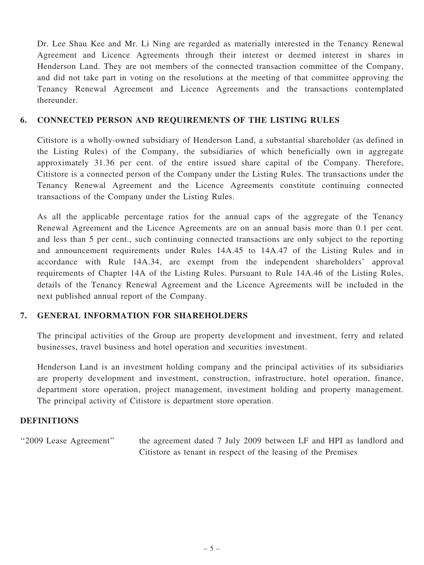Dr. Lee Shau Kee and Mr. Li Ning are regarded as materially interested in the Tenancy Renewal Agreement and Licence Agreements through their interest or deemed interest in shares in Henderson Land. They are not members of the connected transaction committee of the Company, and did not take part in voting on the resolutions at the meeting of that committee approving the Tenancy Renewal Agreement and Licence Agreements and the transactions contemplated thereunder.

#### 6. CONNECTED PERSON AND REQUIREMENTS OF THE LISTING RULES

Citistore is a wholly-owned subsidiary of Henderson Land, a substantial shareholder (as defined in the Listing Rules) of the Company, the subsidiaries of which beneficially own in aggregate approximately 31.36 per cent. of the entire issued share capital of the Company. Therefore, Citistore is a connected person of the Company under the Listing Rules. The transactions under the Tenancy Renewal Agreement and the Licence Agreements constitute continuing connected transactions of the Company under the Listing Rules.

As all the applicable percentage ratios for the annual caps of the aggregate of the Tenancy Renewal Agreement and the Licence Agreements are on an annual basis more than 0.1 per cent. and less than 5 per cent., such continuing connected transactions are only subject to the reporting and announcement requirements under Rules 14A.45 to 14A.47 of the Listing Rules and in accordance with Rule 14A.34, are exempt from the independent shareholders' approval requirements of Chapter 14A of the Listing Rules. Pursuant to Rule 14A.46 of the Listing Rules, details of the Tenancy Renewal Agreement and the Licence Agreements will be included in the next published annual report of the Company.

#### 7. GENERAL INFORMATION FOR SHAREHOLDERS

The principal activities of the Group are property development and investment, ferry and related businesses, travel business and hotel operation and securities investment.

Henderson Land is an investment holding company and the principal activities of its subsidiaries are property development and investment, construction, infrastructure, hotel operation, finance, department store operation, project management, investment holding and property management. The principal activity of Citistore is department store operation.

#### **DEFINITIONS**

''2009 Lease Agreement'' the agreement dated 7 July 2009 between LF and HPI as landlord and Citistore as tenant in respect of the leasing of the Premises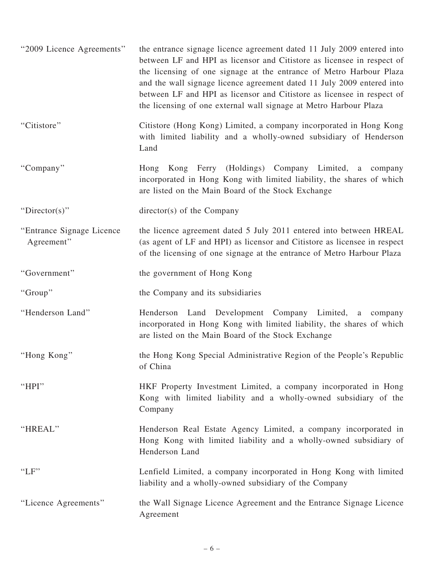| "2009 Licence Agreements"                | the entrance signage licence agreement dated 11 July 2009 entered into<br>between LF and HPI as licensor and Citistore as licensee in respect of<br>the licensing of one signage at the entrance of Metro Harbour Plaza<br>and the wall signage licence agreement dated 11 July 2009 entered into<br>between LF and HPI as licensor and Citistore as licensee in respect of<br>the licensing of one external wall signage at Metro Harbour Plaza |
|------------------------------------------|--------------------------------------------------------------------------------------------------------------------------------------------------------------------------------------------------------------------------------------------------------------------------------------------------------------------------------------------------------------------------------------------------------------------------------------------------|
| "Citistore"                              | Citistore (Hong Kong) Limited, a company incorporated in Hong Kong<br>with limited liability and a wholly-owned subsidiary of Henderson<br>Land                                                                                                                                                                                                                                                                                                  |
| "Company"                                | Hong Kong Ferry (Holdings) Company Limited, a company<br>incorporated in Hong Kong with limited liability, the shares of which<br>are listed on the Main Board of the Stock Exchange                                                                                                                                                                                                                                                             |
| "Director(s)"                            | $\text{directory}(s)$ of the Company                                                                                                                                                                                                                                                                                                                                                                                                             |
| "Entrance Signage Licence"<br>Agreement" | the licence agreement dated 5 July 2011 entered into between HREAL<br>(as agent of LF and HPI) as licensor and Citistore as licensee in respect<br>of the licensing of one signage at the entrance of Metro Harbour Plaza                                                                                                                                                                                                                        |
| "Government"                             | the government of Hong Kong                                                                                                                                                                                                                                                                                                                                                                                                                      |
| "Group"                                  | the Company and its subsidiaries                                                                                                                                                                                                                                                                                                                                                                                                                 |
| "Henderson Land"                         | Henderson Land Development Company Limited, a company<br>incorporated in Hong Kong with limited liability, the shares of which<br>are listed on the Main Board of the Stock Exchange                                                                                                                                                                                                                                                             |
| "Hong Kong"                              | the Hong Kong Special Administrative Region of the People's Republic<br>of China                                                                                                                                                                                                                                                                                                                                                                 |
| "HPI"                                    | HKF Property Investment Limited, a company incorporated in Hong<br>Kong with limited liability and a wholly-owned subsidiary of the<br>Company                                                                                                                                                                                                                                                                                                   |
| "HREAL"                                  | Henderson Real Estate Agency Limited, a company incorporated in<br>Hong Kong with limited liability and a wholly-owned subsidiary of<br>Henderson Land                                                                                                                                                                                                                                                                                           |
| "LF"                                     | Lenfield Limited, a company incorporated in Hong Kong with limited<br>liability and a wholly-owned subsidiary of the Company                                                                                                                                                                                                                                                                                                                     |
| "Licence Agreements"                     | the Wall Signage Licence Agreement and the Entrance Signage Licence<br>Agreement                                                                                                                                                                                                                                                                                                                                                                 |